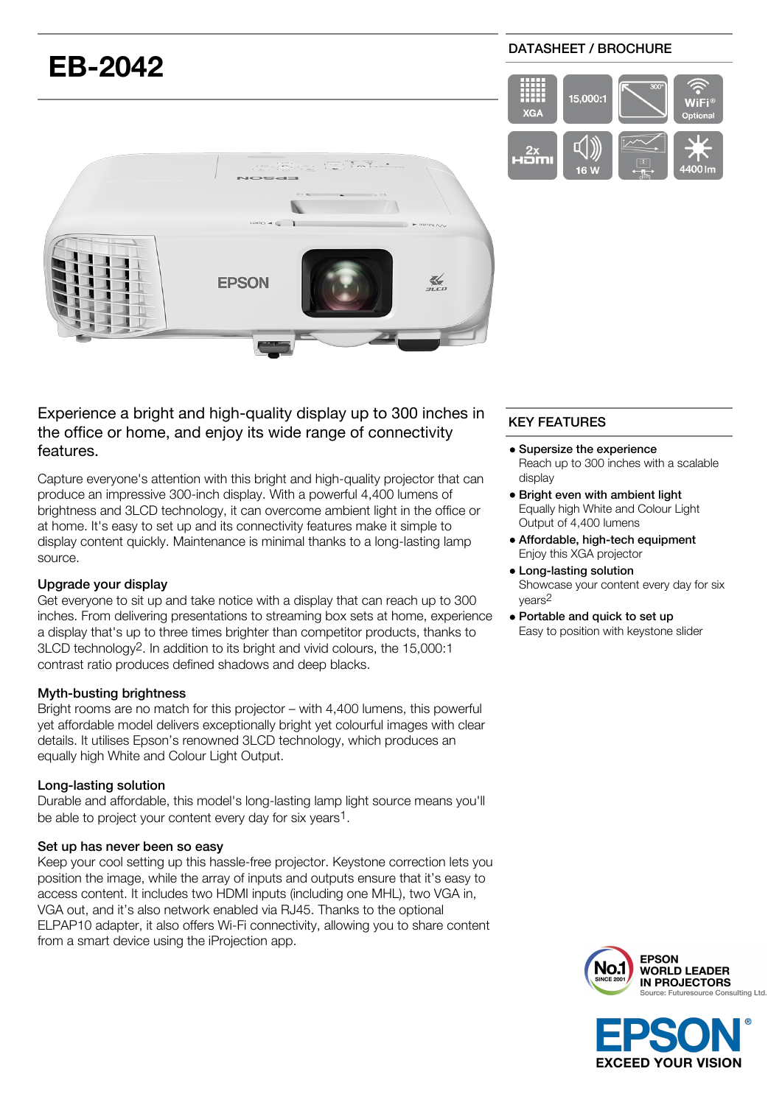# **EB-2042 FPSON**  $\frac{1}{2}$

# Experience a bright and high-quality display up to 300 inches in the office or home, and enjoy its wide range of connectivity features.

Capture everyone's attention with this bright and high-quality projector that can produce an impressive 300-inch display. With a powerful 4,400 lumens of brightness and 3LCD technology, it can overcome ambient light in the office or at home. It's easy to set up and its connectivity features make it simple to display content quickly. Maintenance is minimal thanks to a long-lasting lamp source.

## Upgrade your display

Get everyone to sit up and take notice with a display that can reach up to 300 inches. From delivering presentations to streaming box sets at home, experience a display that's up to three times brighter than competitor products, thanks to 3LCD technology2. In addition to its bright and vivid colours, the 15,000:1 contrast ratio produces defined shadows and deep blacks.

#### Myth-busting brightness

Bright rooms are no match for this projector – with 4,400 lumens, this powerful yet affordable model delivers exceptionally bright yet colourful images with clear details. It utilises Epson's renowned 3LCD technology, which produces an equally high White and Colour Light Output.

## Long-lasting solution

Durable and affordable, this model's long-lasting lamp light source means you'll be able to project your content every day for six years1.

#### Set up has never been so easy

Keep your cool setting up this hassle-free projector. Keystone correction lets you position the image, while the array of inputs and outputs ensure that it's easy to access content. It includes two HDMI inputs (including one MHL), two VGA in, VGA out, and it's also network enabled via RJ45. Thanks to the optional ELPAP10 adapter, it also offers Wi-Fi connectivity, allowing you to share content from a smart device using the iProjection app.

# KEY FEATURES

- Supersize the experience Reach up to 300 inches with a scalable display
- Bright even with ambient light Equally high White and Colour Light Output of 4,400 lumens
- Affordable, high-tech equipment Enjoy this XGA projector
- Long-lasting solution Showcase your content every day for six years2
- Portable and quick to set up Easy to position with keystone slider



**EXCEED YOUR VISION** 

#### DATASHEET / BROCHURE

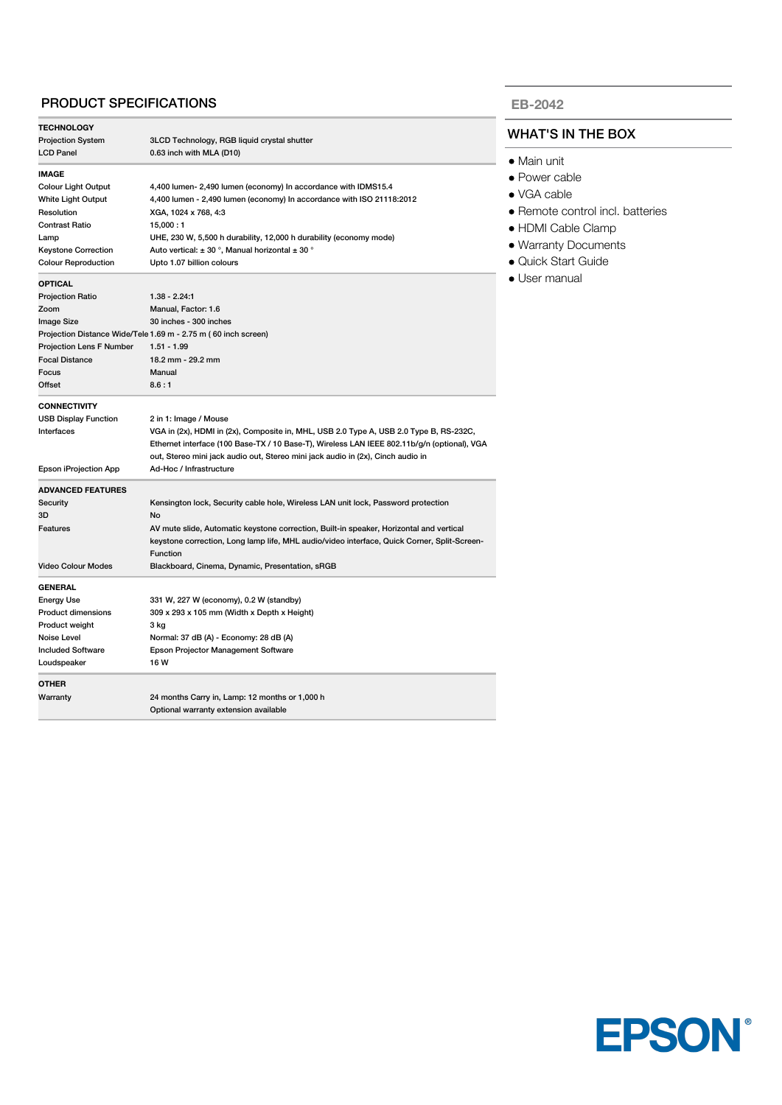#### PRODUCT SPECIFICATIONS

| <b>TECHNOLOGY</b>           |                                                                                             |  |
|-----------------------------|---------------------------------------------------------------------------------------------|--|
| <b>Projection System</b>    | 3LCD Technology, RGB liquid crystal shutter                                                 |  |
| <b>LCD Panel</b>            | 0.63 inch with MLA (D10)                                                                    |  |
| IMAGE                       |                                                                                             |  |
| Colour Light Output         | 4,400 lumen- 2,490 lumen (economy) In accordance with IDMS15.4                              |  |
| White Light Output          | 4,400 lumen - 2,490 lumen (economy) In accordance with ISO 21118:2012                       |  |
| Resolution                  | XGA, 1024 x 768, 4:3                                                                        |  |
| Contrast Ratio              | 15,000:1                                                                                    |  |
| Lamp                        | UHE, 230 W, 5,500 h durability, 12,000 h durability (economy mode)                          |  |
| <b>Keystone Correction</b>  | Auto vertical: $\pm$ 30 °, Manual horizontal $\pm$ 30 °                                     |  |
| <b>Colour Reproduction</b>  | Upto 1.07 billion colours                                                                   |  |
| <b>OPTICAL</b>              |                                                                                             |  |
| <b>Projection Ratio</b>     | $1.38 - 2.24.1$                                                                             |  |
| Zoom                        | Manual, Factor: 1.6                                                                         |  |
| Image Size                  | 30 inches - 300 inches                                                                      |  |
|                             | Projection Distance Wide/Tele 1.69 m - 2.75 m (60 inch screen)                              |  |
| Projection Lens F Number    | $1.51 - 1.99$                                                                               |  |
| <b>Focal Distance</b>       | 18.2 mm - 29.2 mm                                                                           |  |
| Focus                       | Manual                                                                                      |  |
| Offset                      | 8.6:1                                                                                       |  |
| <b>CONNECTIVITY</b>         |                                                                                             |  |
| <b>USB Display Function</b> | 2 in 1: Image / Mouse                                                                       |  |
| Interfaces                  | VGA in (2x), HDMI in (2x), Composite in, MHL, USB 2.0 Type A, USB 2.0 Type B, RS-232C,      |  |
|                             | Ethernet interface (100 Base-TX / 10 Base-T), Wireless LAN IEEE 802.11b/g/n (optional), VGA |  |
|                             | out, Stereo mini jack audio out, Stereo mini jack audio in (2x), Cinch audio in             |  |
| Epson iProjection App       | Ad-Hoc / Infrastructure                                                                     |  |
| <b>ADVANCED FEATURES</b>    |                                                                                             |  |
| Security                    | Kensington lock, Security cable hole, Wireless LAN unit lock, Password protection           |  |
| 3D                          | No                                                                                          |  |
| Features                    | AV mute slide, Automatic keystone correction, Built-in speaker, Horizontal and vertical     |  |
|                             | keystone correction, Long lamp life, MHL audio/video interface, Quick Corner, Split-Screen- |  |
|                             | <b>Function</b>                                                                             |  |
| <b>Video Colour Modes</b>   | Blackboard, Cinema, Dynamic, Presentation, sRGB                                             |  |
| <b>GENERAL</b>              |                                                                                             |  |
| <b>Energy Use</b>           | 331 W, 227 W (economy), 0.2 W (standby)                                                     |  |
| <b>Product dimensions</b>   | 309 x 293 x 105 mm (Width x Depth x Height)                                                 |  |
| Product weight              | 3 kg                                                                                        |  |
| Noise Level                 | Normal: 37 dB (A) - Economy: 28 dB (A)                                                      |  |
| <b>Included Software</b>    | <b>Epson Projector Management Software</b>                                                  |  |
| Loudspeaker                 | 16W                                                                                         |  |
| OTHER                       |                                                                                             |  |
| Warranty                    | 24 months Carry in, Lamp: 12 months or 1,000 h                                              |  |
|                             | Optional warranty extension available                                                       |  |

#### **EB-2042**

#### WHAT'S IN THE BOX

- Main unit
- Power cable
- VGA cable
- Remote control incl. batteries
- HDMI Cable Clamp
- Warranty Documents
- Quick Start Guide
- User manual